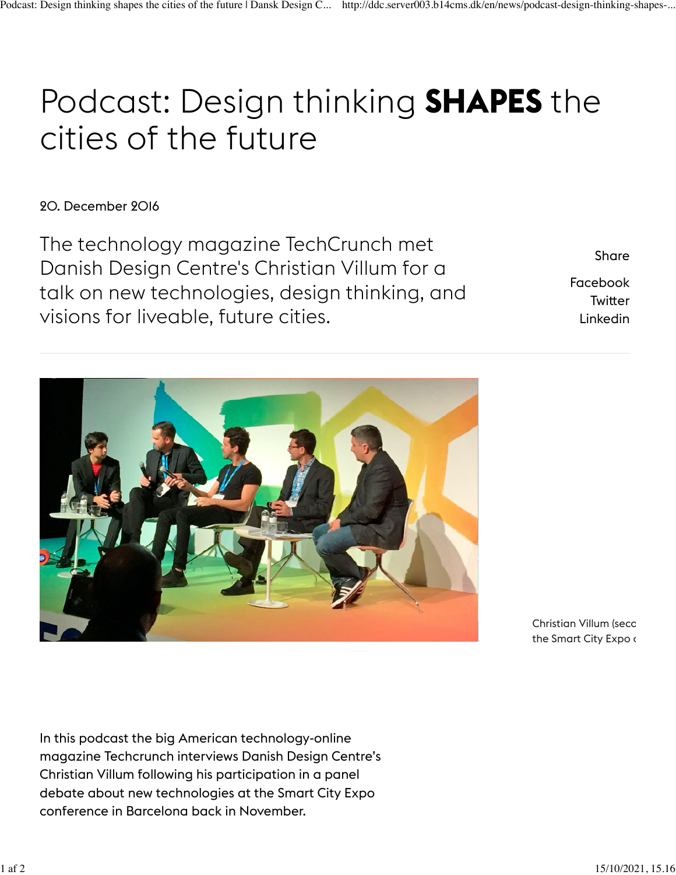## Podcast: Design thinking **SHAPES** the cities of the future

20. December 2016

The technology magazine TechCrunch met Danish Design Centre's Christian Villum for a talk on new technologies, design thinking, and visions for liveable, future cities.

Share Facebook **Twitter** Linkedin



Christian Villum (secc the Smart City Expo a

In this podcast the big American technology-online magazine Techcrunch interviews Danish Design Centre's Christian Villum following his participation in a panel debate about new technologies at the Smart City Expo conference in Barcelona back in November.